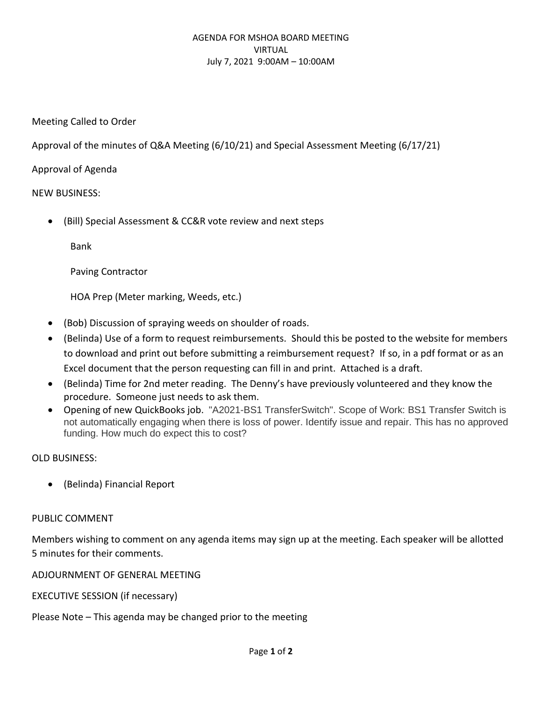### AGENDA FOR MSHOA BOARD MEETING VIRTUAL July 7, 2021 9:00AM – 10:00AM

Meeting Called to Order

Approval of the minutes of Q&A Meeting (6/10/21) and Special Assessment Meeting (6/17/21)

Approval of Agenda

# NEW BUSINESS:

• (Bill) Special Assessment & CC&R vote review and next steps

Bank

Paving Contractor

HOA Prep (Meter marking, Weeds, etc.)

- (Bob) Discussion of spraying weeds on shoulder of roads.
- (Belinda) Use of a form to request reimbursements. Should this be posted to the website for members to download and print out before submitting a reimbursement request? If so, in a pdf format or as an Excel document that the person requesting can fill in and print. Attached is a draft.
- (Belinda) Time for 2nd meter reading. The Denny's have previously volunteered and they know the procedure. Someone just needs to ask them.
- Opening of new QuickBooks job. "A2021-BS1 TransferSwitch". Scope of Work: BS1 Transfer Switch is not automatically engaging when there is loss of power. Identify issue and repair. This has no approved funding. How much do expect this to cost?

# OLD BUSINESS:

• (Belinda) Financial Report

# PUBLIC COMMENT

Members wishing to comment on any agenda items may sign up at the meeting. Each speaker will be allotted 5 minutes for their comments.

ADJOURNMENT OF GENERAL MEETING

EXECUTIVE SESSION (if necessary)

Please Note – This agenda may be changed prior to the meeting